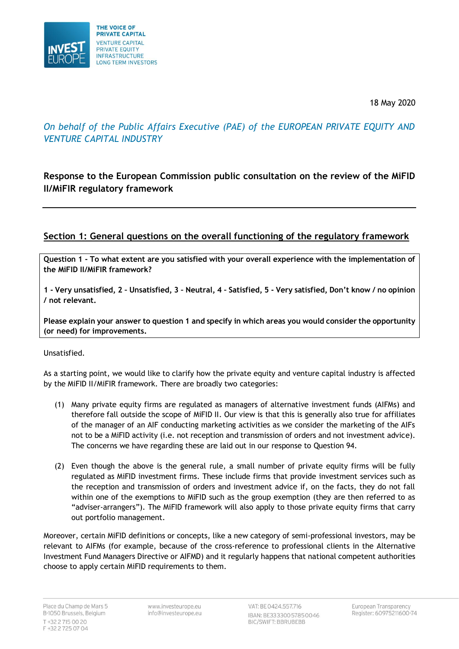

18 May 2020

# *On behalf of the Public Affairs Executive (PAE) of the EUROPEAN PRIVATE EQUITY AND VENTURE CAPITAL INDUSTRY*

## **Response to the European Commission public consultation on the review of the MiFID II/MiFIR regulatory framework**

## **Section 1: General questions on the overall functioning of the regulatory framework**

**Question 1 - To what extent are you satisfied with your overall experience with the implementation of the MiFID II/MiFIR framework?** 

**1 - Very unsatisfied, 2 – Unsatisfied, 3 – Neutral, 4 – Satisfied, 5 - Very satisfied, Don't know / no opinion / not relevant.** 

**Please explain your answer to question 1 and specify in which areas you would consider the opportunity (or need) for improvements.**

Unsatisfied.

As a starting point, we would like to clarify how the private equity and venture capital industry is affected by the MiFID II/MiFIR framework. There are broadly two categories:

- (1) Many private equity firms are regulated as managers of alternative investment funds (AIFMs) and therefore fall outside the scope of MiFID II. Our view is that this is generally also true for affiliates of the manager of an AIF conducting marketing activities as we consider the marketing of the AIFs not to be a MiFID activity (i.e. not reception and transmission of orders and not investment advice). The concerns we have regarding these are laid out in our response to Question 94.
- (2) Even though the above is the general rule, a small number of private equity firms will be fully regulated as MiFID investment firms. These include firms that provide investment services such as the reception and transmission of orders and investment advice if, on the facts, they do not fall within one of the exemptions to MiFID such as the group exemption (they are then referred to as "adviser-arrangers"). The MiFID framework will also apply to those private equity firms that carry out portfolio management.

Moreover, certain MiFID definitions or concepts, like a new category of semi-professional investors, may be relevant to AIFMs (for example, because of the cross-reference to professional clients in the Alternative Investment Fund Managers Directive or AIFMD) and it regularly happens that national competent authorities choose to apply certain MiFID requirements to them.

Place du Champ de Mars 5 B-1050 Brussels, Belgium T +32 2 715 00 20 F +32 2 725 07 04

www.investeurope.eu info@investeurope.eu VAT: BE 0424.557.716 IBAN: BE33330057850046 **BIC/SWIFT: BBRUBEBB**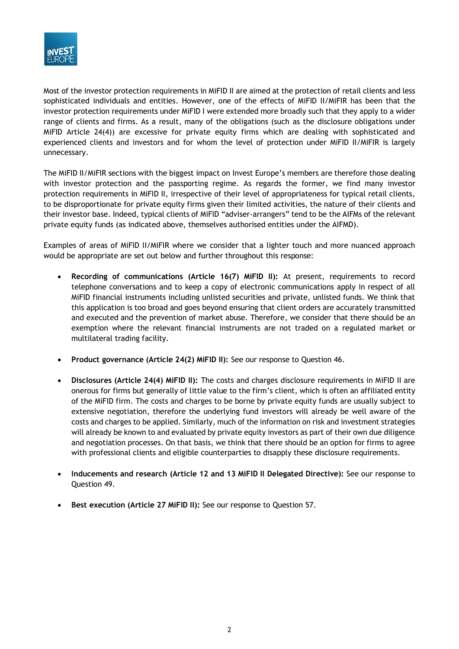

Most of the investor protection requirements in MiFID II are aimed at the protection of retail clients and less sophisticated individuals and entities. However, one of the effects of MiFID II/MiFIR has been that the investor protection requirements under MiFID I were extended more broadly such that they apply to a wider range of clients and firms. As a result, many of the obligations (such as the disclosure obligations under MiFID Article 24(4)) are excessive for private equity firms which are dealing with sophisticated and experienced clients and investors and for whom the level of protection under MiFID II/MiFIR is largely unnecessary.

The MiFID II/MiFIR sections with the biggest impact on Invest Europe's members are therefore those dealing with investor protection and the passporting regime. As regards the former, we find many investor protection requirements in MiFID II, irrespective of their level of appropriateness for typical retail clients, to be disproportionate for private equity firms given their limited activities, the nature of their clients and their investor base. Indeed, typical clients of MiFID "adviser-arrangers" tend to be the AIFMs of the relevant private equity funds (as indicated above, themselves authorised entities under the AIFMD).

Examples of areas of MiFID II/MiFIR where we consider that a lighter touch and more nuanced approach would be appropriate are set out below and further throughout this response:

- **Recording of communications (Article 16(7) MiFID II):** At present, requirements to record telephone conversations and to keep a copy of electronic communications apply in respect of all MiFID financial instruments including unlisted securities and private, unlisted funds. We think that this application is too broad and goes beyond ensuring that client orders are accurately transmitted and executed and the prevention of market abuse. Therefore, we consider that there should be an exemption where the relevant financial instruments are not traded on a regulated market or multilateral trading facility.
- **Product governance (Article 24(2) MiFID II):** See our response to Question 46.
- **Disclosures (Article 24(4) MiFID II):** The costs and charges disclosure requirements in MiFID II are onerous for firms but generally of little value to the firm's client, which is often an affiliated entity of the MiFID firm. The costs and charges to be borne by private equity funds are usually subject to extensive negotiation, therefore the underlying fund investors will already be well aware of the costs and charges to be applied. Similarly, much of the information on risk and investment strategies will already be known to and evaluated by private equity investors as part of their own due diligence and negotiation processes. On that basis, we think that there should be an option for firms to agree with professional clients and eligible counterparties to disapply these disclosure requirements.
- **Inducements and research (Article 12 and 13 MiFID II Delegated Directive):** See our response to Question 49.
- **Best execution (Article 27 MiFID II):** See our response to Question 57.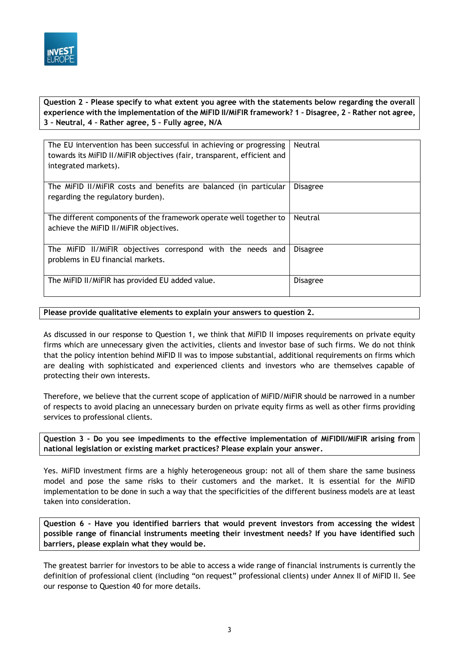

**Question 2 - Please specify to what extent you agree with the statements below regarding the overall experience with the implementation of the MiFID II/MiFIR framework? 1 – Disagree, 2 – Rather not agree, 3 – Neutral, 4 – Rather agree, 5 – Fully agree, N/A**

| The EU intervention has been successful in achieving or progressing<br>towards its MiFID II/MiFIR objectives (fair, transparent, efficient and<br>integrated markets). | Neutral         |
|------------------------------------------------------------------------------------------------------------------------------------------------------------------------|-----------------|
| The MiFID II/MiFIR costs and benefits are balanced (in particular<br>regarding the regulatory burden).                                                                 | <b>Disagree</b> |
| The different components of the framework operate well together to<br>achieve the MiFID II/MiFIR objectives.                                                           | Neutral         |
| The MiFID II/MiFIR objectives correspond with the needs and<br>problems in EU financial markets.                                                                       | <b>Disagree</b> |
| The MiFID II/MiFIR has provided EU added value.                                                                                                                        | <b>Disagree</b> |

#### **Please provide qualitative elements to explain your answers to question 2.**

As discussed in our response to Question 1, we think that MiFID II imposes requirements on private equity firms which are unnecessary given the activities, clients and investor base of such firms. We do not think that the policy intention behind MiFID II was to impose substantial, additional requirements on firms which are dealing with sophisticated and experienced clients and investors who are themselves capable of protecting their own interests.

Therefore, we believe that the current scope of application of MiFID/MiFIR should be narrowed in a number of respects to avoid placing an unnecessary burden on private equity firms as well as other firms providing services to professional clients.

**Question 3 - Do you see impediments to the effective implementation of MiFIDII/MiFIR arising from national legislation or existing market practices? Please explain your answer.**

Yes. MiFID investment firms are a highly heterogeneous group: not all of them share the same business model and pose the same risks to their customers and the market. It is essential for the MiFID implementation to be done in such a way that the specificities of the different business models are at least taken into consideration.

**Question 6 - Have you identified barriers that would prevent investors from accessing the widest possible range of financial instruments meeting their investment needs? If you have identified such barriers, please explain what they would be.**

The greatest barrier for investors to be able to access a wide range of financial instruments is currently the definition of professional client (including "on request" professional clients) under Annex II of MiFID II. See our response to Question 40 for more details.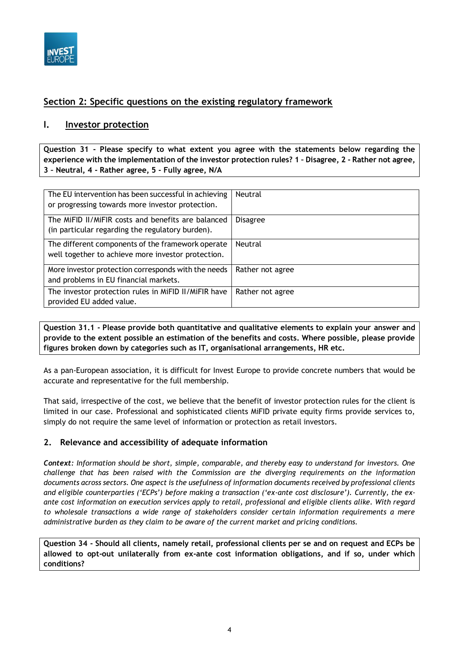

## **Section 2: Specific questions on the existing regulatory framework**

## **I. Investor protection**

**Question 31 - Please specify to what extent you agree with the statements below regarding the experience with the implementation of the investor protection rules? 1 – Disagree, 2 - Rather not agree, 3 – Neutral, 4 - Rather agree, 5 - Fully agree, N/A**

| The EU intervention has been successful in achieving<br>or progressing towards more investor protection. | Neutral          |
|----------------------------------------------------------------------------------------------------------|------------------|
| The MiFID II/MiFIR costs and benefits are balanced<br>(in particular regarding the regulatory burden).   | <b>Disagree</b>  |
| The different components of the framework operate<br>well together to achieve more investor protection.  | Neutral          |
| More investor protection corresponds with the needs<br>and problems in EU financial markets.             | Rather not agree |
| The investor protection rules in MiFID II/MiFIR have<br>provided EU added value.                         | Rather not agree |

**Question 31.1 - Please provide both quantitative and qualitative elements to explain your answer and provide to the extent possible an estimation of the benefits and costs. Where possible, please provide figures broken down by categories such as IT, organisational arrangements, HR etc.**

As a pan-European association, it is difficult for Invest Europe to provide concrete numbers that would be accurate and representative for the full membership.

That said, irrespective of the cost, we believe that the benefit of investor protection rules for the client is limited in our case. Professional and sophisticated clients MiFID private equity firms provide services to, simply do not require the same level of information or protection as retail investors.

### **2. Relevance and accessibility of adequate information**

*Context: Information should be short, simple, comparable, and thereby easy to understand for investors. One challenge that has been raised with the Commission are the diverging requirements on the information documents across sectors. One aspect is the usefulness of information documents received by professional clients and eligible counterparties ('ECPs') before making a transaction ('ex-ante cost disclosure'). Currently, the exante cost information on execution services apply to retail, professional and eligible clients alike. With regard to wholesale transactions a wide range of stakeholders consider certain information requirements a mere administrative burden as they claim to be aware of the current market and pricing conditions.*

**Question 34 - Should all clients, namely retail, professional clients per se and on request and ECPs be allowed to opt-out unilaterally from ex-ante cost information obligations, and if so, under which conditions?**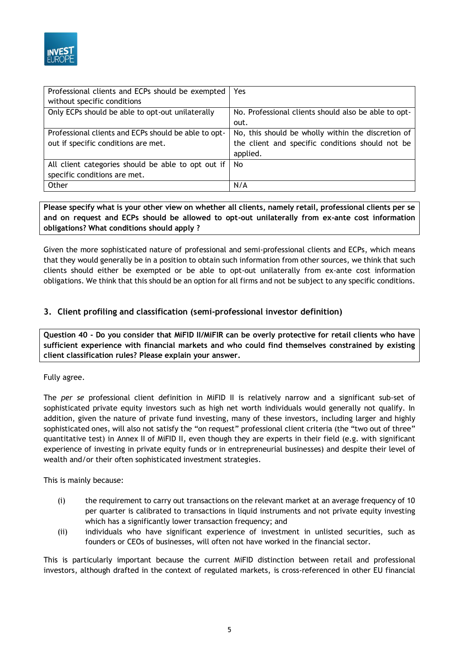

| Professional clients and ECPs should be exempted     | Yes.                                                 |
|------------------------------------------------------|------------------------------------------------------|
| without specific conditions                          |                                                      |
| Only ECPs should be able to opt-out unilaterally     | No. Professional clients should also be able to opt- |
|                                                      | out.                                                 |
| Professional clients and ECPs should be able to opt- | No, this should be wholly within the discretion of   |
| out if specific conditions are met.                  | the client and specific conditions should not be     |
|                                                      | applied.                                             |
| All client categories should be able to opt out if   | No.                                                  |
| specific conditions are met.                         |                                                      |
| Other                                                | N/A                                                  |

**Please specify what is your other view on whether all clients, namely retail, professional clients per se and on request and ECPs should be allowed to opt-out unilaterally from ex-ante cost information obligations? What conditions should apply ?** 

Given the more sophisticated nature of professional and semi-professional clients and ECPs, which means that they would generally be in a position to obtain such information from other sources, we think that such clients should either be exempted or be able to opt-out unilaterally from ex-ante cost information obligations. We think that this should be an option for all firms and not be subject to any specific conditions.

## **3. Client profiling and classification (semi-professional investor definition)**

**Question 40 - Do you consider that MiFID II/MiFIR can be overly protective for retail clients who have sufficient experience with financial markets and who could find themselves constrained by existing client classification rules? Please explain your answer.**

#### Fully agree.

The *per se* professional client definition in MiFID II is relatively narrow and a significant sub-set of sophisticated private equity investors such as high net worth individuals would generally not qualify. In addition, given the nature of private fund investing, many of these investors, including larger and highly sophisticated ones, will also not satisfy the "on request" professional client criteria (the "two out of three" quantitative test) in Annex II of MiFID II, even though they are experts in their field (e.g. with significant experience of investing in private equity funds or in entrepreneurial businesses) and despite their level of wealth and/or their often sophisticated investment strategies.

This is mainly because:

- (i) the requirement to carry out transactions on the relevant market at an average frequency of 10 per quarter is calibrated to transactions in liquid instruments and not private equity investing which has a significantly lower transaction frequency; and
- (ii) individuals who have significant experience of investment in unlisted securities, such as founders or CEOs of businesses, will often not have worked in the financial sector.

This is particularly important because the current MiFID distinction between retail and professional investors, although drafted in the context of regulated markets, is cross-referenced in other EU financial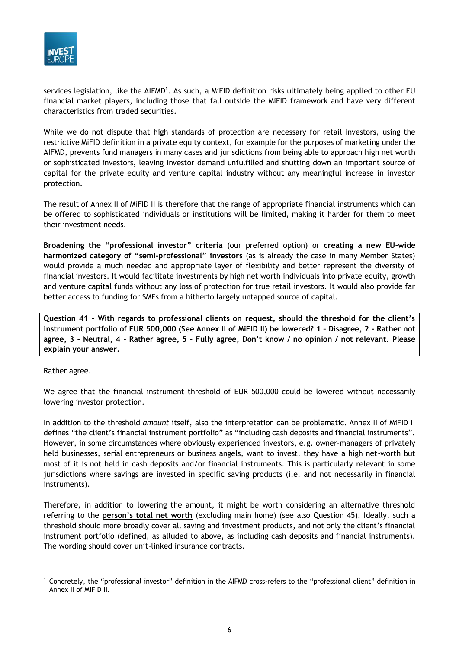

services legislation, like the AIFMD<sup>1</sup>. As such, a MiFID definition risks ultimately being applied to other EU financial market players, including those that fall outside the MiFID framework and have very different characteristics from traded securities.

While we do not dispute that high standards of protection are necessary for retail investors, using the restrictive MiFID definition in a private equity context, for example for the purposes of marketing under the AIFMD, prevents fund managers in many cases and jurisdictions from being able to approach high net worth or sophisticated investors, leaving investor demand unfulfilled and shutting down an important source of capital for the private equity and venture capital industry without any meaningful increase in investor protection.

The result of Annex II of MiFID II is therefore that the range of appropriate financial instruments which can be offered to sophisticated individuals or institutions will be limited, making it harder for them to meet their investment needs.

**Broadening the "professional investor" criteria** (our preferred option) or **creating a new EU-wide harmonized category of "semi-professional" investors** (as is already the case in many Member States) would provide a much needed and appropriate layer of flexibility and better represent the diversity of financial investors. It would facilitate investments by high net worth individuals into private equity, growth and venture capital funds without any loss of protection for true retail investors. It would also provide far better access to funding for SMEs from a hitherto largely untapped source of capital.

**Question 41 - With regards to professional clients on request, should the threshold for the client's instrument portfolio of EUR 500,000 (See Annex II of MiFID II) be lowered? 1 – Disagree, 2 - Rather not agree, 3 – Neutral, 4 - Rather agree, 5 - Fully agree, Don't know / no opinion / not relevant. Please explain your answer.**

#### Rather agree.

We agree that the financial instrument threshold of EUR 500,000 could be lowered without necessarily lowering investor protection.

In addition to the threshold *amount* itself, also the interpretation can be problematic. Annex II of MiFID II defines "the client's financial instrument portfolio" as "including cash deposits and financial instruments". However, in some circumstances where obviously experienced investors, e.g. owner-managers of privately held businesses, serial entrepreneurs or business angels, want to invest, they have a high net-worth but most of it is not held in cash deposits and/or financial instruments. This is particularly relevant in some jurisdictions where savings are invested in specific saving products (i.e. and not necessarily in financial instruments).

Therefore, in addition to lowering the amount, it might be worth considering an alternative threshold referring to the **person's total net worth** (excluding main home) (see also Question 45). Ideally, such a threshold should more broadly cover all saving and investment products, and not only the client's financial instrument portfolio (defined, as alluded to above, as including cash deposits and financial instruments). The wording should cover unit-linked insurance contracts.

<sup>1</sup> Concretely, the "professional investor" definition in the AIFMD cross-refers to the "professional client" definition in Annex II of MiFID II.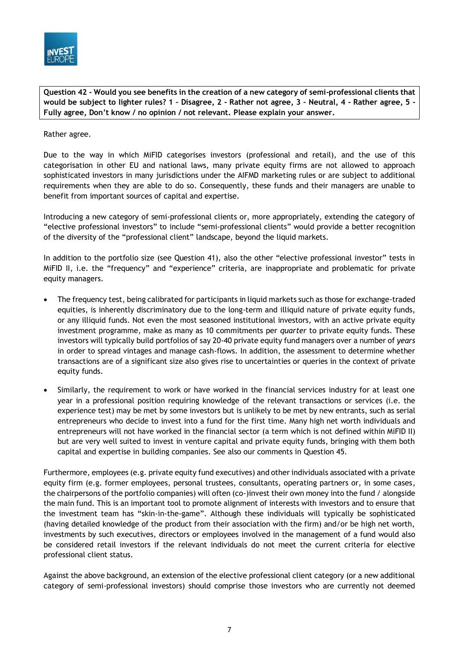

**Question 42 - Would you see benefits in the creation of a new category of semi-professional clients that would be subject to lighter rules? 1 – Disagree, 2 - Rather not agree, 3 – Neutral, 4 - Rather agree, 5 - Fully agree, Don't know / no opinion / not relevant. Please explain your answer.**

Rather agree.

Due to the way in which MiFID categorises investors (professional and retail), and the use of this categorisation in other EU and national laws, many private equity firms are not allowed to approach sophisticated investors in many jurisdictions under the AIFMD marketing rules or are subject to additional requirements when they are able to do so. Consequently, these funds and their managers are unable to benefit from important sources of capital and expertise.

Introducing a new category of semi-professional clients or, more appropriately, extending the category of "elective professional investors" to include "semi-professional clients" would provide a better recognition of the diversity of the "professional client" landscape, beyond the liquid markets.

In addition to the portfolio size (see Question 41), also the other "elective professional investor" tests in MiFID II, i.e. the "frequency" and "experience" criteria, are inappropriate and problematic for private equity managers.

- The frequency test, being calibrated for participants in liquid markets such as those for exchange-traded equities, is inherently discriminatory due to the long-term and illiquid nature of private equity funds, or any illiquid funds. Not even the most seasoned institutional investors, with an active private equity investment programme, make as many as 10 commitments per *quarter* to private equity funds. These investors will typically build portfolios of say 20-40 private equity fund managers over a number of *years*  in order to spread vintages and manage cash-flows. In addition, the assessment to determine whether transactions are of a significant size also gives rise to uncertainties or queries in the context of private equity funds.
- Similarly, the requirement to work or have worked in the financial services industry for at least one year in a professional position requiring knowledge of the relevant transactions or services (i.e. the experience test) may be met by some investors but is unlikely to be met by new entrants, such as serial entrepreneurs who decide to invest into a fund for the first time. Many high net worth individuals and entrepreneurs will not have worked in the financial sector (a term which is not defined within MiFID II) but are very well suited to invest in venture capital and private equity funds, bringing with them both capital and expertise in building companies. See also our comments in Question 45.

Furthermore, employees (e.g. private equity fund executives) and other individuals associated with a private equity firm (e.g. former employees, personal trustees, consultants, operating partners or, in some cases, the chairpersons of the portfolio companies) will often (co-)invest their own money into the fund / alongside the main fund. This is an important tool to promote alignment of interests with investors and to ensure that the investment team has "skin-in-the-game". Although these individuals will typically be sophisticated (having detailed knowledge of the product from their association with the firm) and/or be high net worth, investments by such executives, directors or employees involved in the management of a fund would also be considered retail investors if the relevant individuals do not meet the current criteria for elective professional client status.

Against the above background, an extension of the elective professional client category (or a new additional category of semi-professional investors) should comprise those investors who are currently not deemed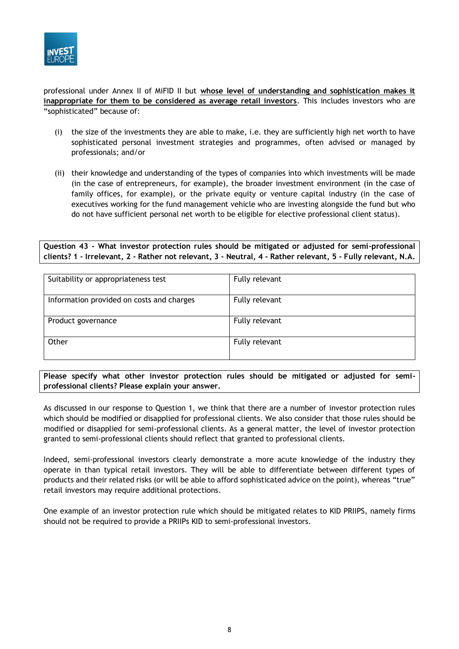

professional under Annex II of MiFID II but **whose level of understanding and sophistication makes it inappropriate for them to be considered as average retail investors**. This includes investors who are "sophisticated" because of:

- (i) the size of the investments they are able to make, i.e. they are sufficiently high net worth to have sophisticated personal investment strategies and programmes, often advised or managed by professionals; and/or
- (ii) their knowledge and understanding of the types of companies into which investments will be made (in the case of entrepreneurs, for example), the broader investment environment (in the case of family offices, for example), or the private equity or venture capital industry (in the case of executives working for the fund management vehicle who are investing alongside the fund but who do not have sufficient personal net worth to be eligible for elective professional client status).

**Question 43 - What investor protection rules should be mitigated or adjusted for semi-professional clients? 1 – Irrelevant, 2 - Rather not relevant, 3 – Neutral, 4 - Rather relevant, 5 - Fully relevant, N.A.**

| Suitability or appropriateness test       | Fully relevant |
|-------------------------------------------|----------------|
| Information provided on costs and charges | Fully relevant |
| Product governance                        | Fully relevant |
| Other                                     | Fully relevant |

**Please specify what other investor protection rules should be mitigated or adjusted for semiprofessional clients? Please explain your answer.**

As discussed in our response to Question 1, we think that there are a number of investor protection rules which should be modified or disapplied for professional clients. We also consider that those rules should be modified or disapplied for semi-professional clients. As a general matter, the level of investor protection granted to semi-professional clients should reflect that granted to professional clients.

Indeed, semi-professional investors clearly demonstrate a more acute knowledge of the industry they operate in than typical retail investors. They will be able to differentiate between different types of products and their related risks (or will be able to afford sophisticated advice on the point), whereas "true" retail investors may require additional protections.

One example of an investor protection rule which should be mitigated relates to KID PRIIPS, namely firms should not be required to provide a PRIIPs KID to semi-professional investors.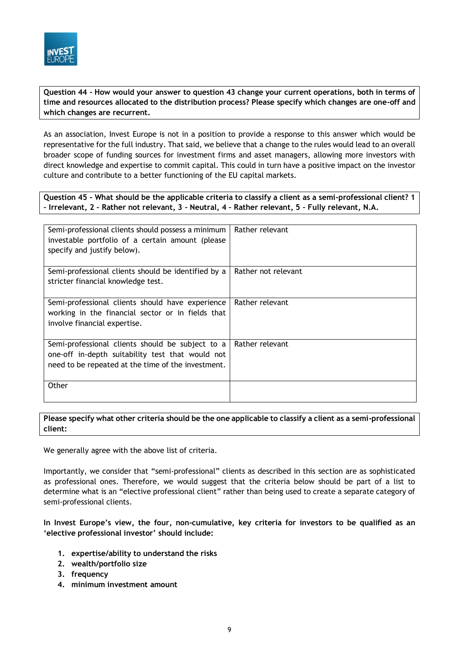

**Question 44 - How would your answer to question 43 change your current operations, both in terms of time and resources allocated to the distribution process? Please specify which changes are one-off and which changes are recurrent.**

As an association, Invest Europe is not in a position to provide a response to this answer which would be representative for the full industry. That said, we believe that a change to the rules would lead to an overall broader scope of funding sources for investment firms and asset managers, allowing more investors with direct knowledge and expertise to commit capital. This could in turn have a positive impact on the investor culture and contribute to a better functioning of the EU capital markets.

**Question 45 - What should be the applicable criteria to classify a client as a semi-professional client? 1 – Irrelevant, 2 – Rather not relevant, 3 – Neutral, 4 – Rather relevant, 5 – Fully relevant, N.A.**

| Semi-professional clients should possess a minimum<br>investable portfolio of a certain amount (please<br>specify and justify below).                      | Rather relevant     |
|------------------------------------------------------------------------------------------------------------------------------------------------------------|---------------------|
| Semi-professional clients should be identified by a<br>stricter financial knowledge test.                                                                  | Rather not relevant |
| Semi-professional clients should have experience<br>working in the financial sector or in fields that<br>involve financial expertise.                      | Rather relevant     |
| Semi-professional clients should be subject to a<br>one-off in-depth suitability test that would not<br>need to be repeated at the time of the investment. | Rather relevant     |
| Other                                                                                                                                                      |                     |

**Please specify what other criteria should be the one applicable to classify a client as a semi-professional client:**

We generally agree with the above list of criteria.

Importantly, we consider that "semi-professional" clients as described in this section are as sophisticated as professional ones. Therefore, we would suggest that the criteria below should be part of a list to determine what is an "elective professional client" rather than being used to create a separate category of semi-professional clients.

#### **In Invest Europe's view, the four, non-cumulative, key criteria for investors to be qualified as an 'elective professional investor' should include:**

- **1. expertise/ability to understand the risks**
- **2. wealth/portfolio size**
- **3. frequency**
- **4. minimum investment amount**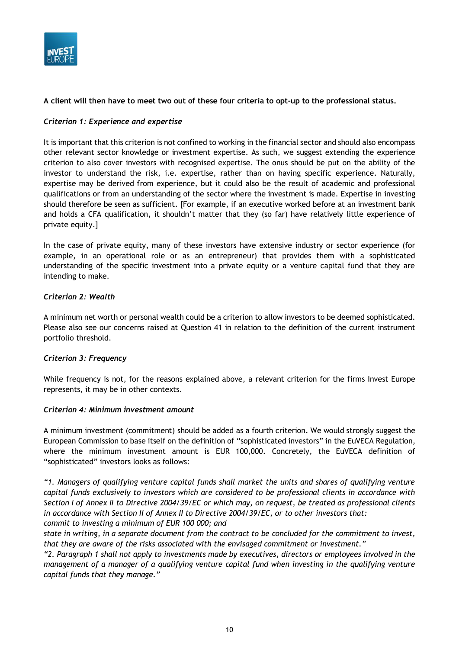

#### **A client will then have to meet two out of these four criteria to opt-up to the professional status.**

#### *Criterion 1: Experience and expertise*

It is important that this criterion is not confined to working in the financial sector and should also encompass other relevant sector knowledge or investment expertise. As such, we suggest extending the experience criterion to also cover investors with recognised expertise. The onus should be put on the ability of the investor to understand the risk, i.e. expertise, rather than on having specific experience. Naturally, expertise may be derived from experience, but it could also be the result of academic and professional qualifications or from an understanding of the sector where the investment is made. Expertise in investing should therefore be seen as sufficient. [For example, if an executive worked before at an investment bank and holds a CFA qualification, it shouldn't matter that they (so far) have relatively little experience of private equity.]

In the case of private equity, many of these investors have extensive industry or sector experience (for example, in an operational role or as an entrepreneur) that provides them with a sophisticated understanding of the specific investment into a private equity or a venture capital fund that they are intending to make.

#### *Criterion 2: Wealth*

A minimum net worth or personal wealth could be a criterion to allow investors to be deemed sophisticated. Please also see our concerns raised at Question 41 in relation to the definition of the current instrument portfolio threshold.

#### *Criterion 3: Frequency*

While frequency is not, for the reasons explained above, a relevant criterion for the firms Invest Europe represents, it may be in other contexts.

#### *Criterion 4: Minimum investment amount*

A minimum investment (commitment) should be added as a fourth criterion. We would strongly suggest the European Commission to base itself on the definition of "sophisticated investors" in the EuVECA Regulation, where the minimum investment amount is EUR 100,000. Concretely, the EuVECA definition of "sophisticated" investors looks as follows:

*"1. Managers of qualifying venture capital funds shall market the units and shares of qualifying venture capital funds exclusively to investors which are considered to be professional clients in accordance with Section I of Annex II to Directive 2004/39/EC or which may, on request, be treated as professional clients in accordance with Section II of Annex II to Directive 2004/39/EC, or to other investors that: commit to investing a minimum of EUR 100 000; and*

*state in writing, in a separate document from the contract to be concluded for the commitment to invest, that they are aware of the risks associated with the envisaged commitment or investment."*

*"2. Paragraph 1 shall not apply to investments made by executives, directors or employees involved in the management of a manager of a qualifying venture capital fund when investing in the qualifying venture capital funds that they manage."*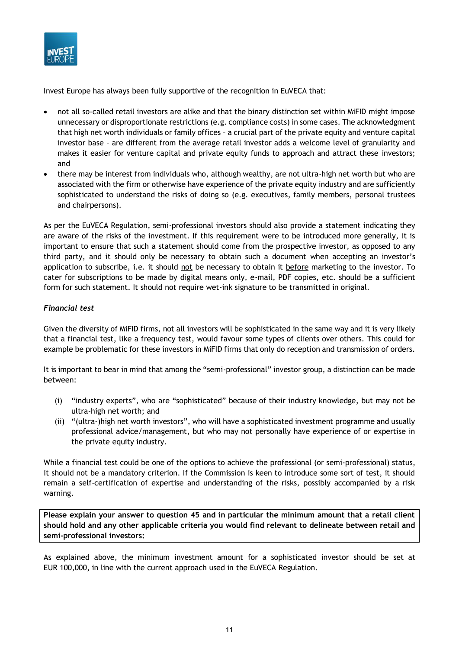

Invest Europe has always been fully supportive of the recognition in EuVECA that:

- not all so-called retail investors are alike and that the binary distinction set within MiFID might impose unnecessary or disproportionate restrictions (e.g. compliance costs) in some cases. The acknowledgment that high net worth individuals or family offices – a crucial part of the private equity and venture capital investor base – are different from the average retail investor adds a welcome level of granularity and makes it easier for venture capital and private equity funds to approach and attract these investors; and
- there may be interest from individuals who, although wealthy, are not ultra-high net worth but who are associated with the firm or otherwise have experience of the private equity industry and are sufficiently sophisticated to understand the risks of doing so (e.g. executives, family members, personal trustees and chairpersons).

As per the EuVECA Regulation, semi-professional investors should also provide a statement indicating they are aware of the risks of the investment. If this requirement were to be introduced more generally, it is important to ensure that such a statement should come from the prospective investor, as opposed to any third party, and it should only be necessary to obtain such a document when accepting an investor's application to subscribe, i.e. it should not be necessary to obtain it before marketing to the investor. To cater for subscriptions to be made by digital means only, e-mail, PDF copies, etc. should be a sufficient form for such statement. It should not require wet-ink signature to be transmitted in original.

#### *Financial test*

Given the diversity of MiFID firms, not all investors will be sophisticated in the same way and it is very likely that a financial test, like a frequency test, would favour some types of clients over others. This could for example be problematic for these investors in MiFID firms that only do reception and transmission of orders.

It is important to bear in mind that among the "semi-professional" investor group, a distinction can be made between:

- (i) "industry experts", who are "sophisticated" because of their industry knowledge, but may not be ultra-high net worth; and
- (ii) "(ultra-)high net worth investors", who will have a sophisticated investment programme and usually professional advice/management, but who may not personally have experience of or expertise in the private equity industry.

While a financial test could be one of the options to achieve the professional (or semi-professional) status, it should not be a mandatory criterion. If the Commission is keen to introduce some sort of test, it should remain a self-certification of expertise and understanding of the risks, possibly accompanied by a risk warning.

**Please explain your answer to question 45 and in particular the minimum amount that a retail client should hold and any other applicable criteria you would find relevant to delineate between retail and semi-professional investors:**

As explained above, the minimum investment amount for a sophisticated investor should be set at EUR 100,000, in line with the current approach used in the EuVECA Regulation.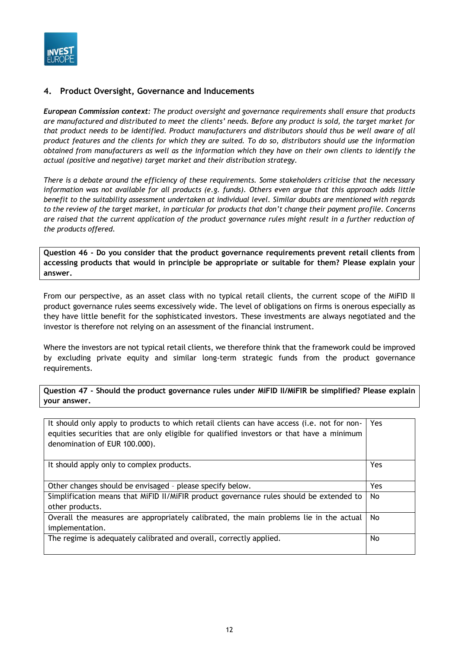

#### **4. Product Oversight, Governance and Inducements**

*European Commission context: The product oversight and governance requirements shall ensure that products are manufactured and distributed to meet the clients' needs. Before any product is sold, the target market for that product needs to be identified. Product manufacturers and distributors should thus be well aware of all product features and the clients for which they are suited. To do so, distributors should use the information obtained from manufacturers as well as the information which they have on their own clients to identify the actual (positive and negative) target market and their distribution strategy.*

*There is a debate around the efficiency of these requirements. Some stakeholders criticise that the necessary information was not available for all products (e.g. funds). Others even argue that this approach adds little benefit to the suitability assessment undertaken at individual level. Similar doubts are mentioned with regards to the review of the target market, in particular for products that don't change their payment profile. Concerns are raised that the current application of the product governance rules might result in a further reduction of the products offered.*

**Question 46 - Do you consider that the product governance requirements prevent retail clients from accessing products that would in principle be appropriate or suitable for them? Please explain your answer.**

From our perspective, as an asset class with no typical retail clients, the current scope of the MiFID II product governance rules seems excessively wide. The level of obligations on firms is onerous especially as they have little benefit for the sophisticated investors. These investments are always negotiated and the investor is therefore not relying on an assessment of the financial instrument.

Where the investors are not typical retail clients, we therefore think that the framework could be improved by excluding private equity and similar long-term strategic funds from the product governance requirements.

**Question 47 - Should the product governance rules under MiFID II/MiFIR be simplified? Please explain your answer.**

| It should only apply to products to which retail clients can have access (i.e. not for non-<br>equities securities that are only eligible for qualified investors or that have a minimum<br>denomination of EUR 100.000). | Yes        |
|---------------------------------------------------------------------------------------------------------------------------------------------------------------------------------------------------------------------------|------------|
| It should apply only to complex products.                                                                                                                                                                                 | Yes        |
| Other changes should be envisaged - please specify below.                                                                                                                                                                 | <b>Yes</b> |
| Simplification means that MiFID II/MiFIR product governance rules should be extended to<br>other products.                                                                                                                | No.        |
| Overall the measures are appropriately calibrated, the main problems lie in the actual<br>implementation.                                                                                                                 | No.        |
| The regime is adequately calibrated and overall, correctly applied.                                                                                                                                                       | No         |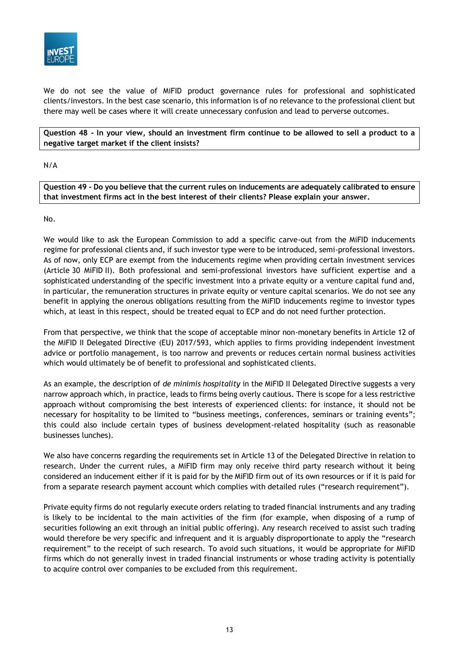

We do not see the value of MiFID product governance rules for professional and sophisticated clients/investors. In the best case scenario, this information is of no relevance to the professional client but there may well be cases where it will create unnecessary confusion and lead to perverse outcomes.

**Question 48 - In your view, should an investment firm continue to be allowed to sell a product to a negative target market if the client insists?**

#### N/A

**Question 49 - Do you believe that the current rules on inducements are adequately calibrated to ensure that investment firms act in the best interest of their clients? Please explain your answer.**

#### No.

We would like to ask the European Commission to add a specific carve-out from the MiFID inducements regime for professional clients and, if such investor type were to be introduced, semi-professional investors. As of now, only ECP are exempt from the inducements regime when providing certain investment services (Article 30 MiFID II). Both professional and semi-professional investors have sufficient expertise and a sophisticated understanding of the specific investment into a private equity or a venture capital fund and, in particular, the remuneration structures in private equity or venture capital scenarios. We do not see any benefit in applying the onerous obligations resulting from the MiFID inducements regime to investor types which, at least in this respect, should be treated equal to ECP and do not need further protection.

From that perspective, we think that the scope of acceptable minor non-monetary benefits in Article 12 of the MiFID II Delegated Directive (EU) 2017/593, which applies to firms providing independent investment advice or portfolio management, is too narrow and prevents or reduces certain normal business activities which would ultimately be of benefit to professional and sophisticated clients.

As an example, the description of *de minimis hospitality* in the MiFID II Delegated Directive suggests a very narrow approach which, in practice, leads to firms being overly cautious. There is scope for a less restrictive approach without compromising the best interests of experienced clients: for instance, it should not be necessary for hospitality to be limited to "business meetings, conferences, seminars or training events"; this could also include certain types of business development-related hospitality (such as reasonable businesses lunches).

We also have concerns regarding the requirements set in Article 13 of the Delegated Directive in relation to research. Under the current rules, a MiFID firm may only receive third party research without it being considered an inducement either if it is paid for by the MiFID firm out of its own resources or if it is paid for from a separate research payment account which complies with detailed rules ("research requirement").

Private equity firms do not regularly execute orders relating to traded financial instruments and any trading is likely to be incidental to the main activities of the firm (for example, when disposing of a rump of securities following an exit through an initial public offering). Any research received to assist such trading would therefore be very specific and infrequent and it is arguably disproportionate to apply the "research requirement" to the receipt of such research. To avoid such situations, it would be appropriate for MiFID firms which do not generally invest in traded financial instruments or whose trading activity is potentially to acquire control over companies to be excluded from this requirement.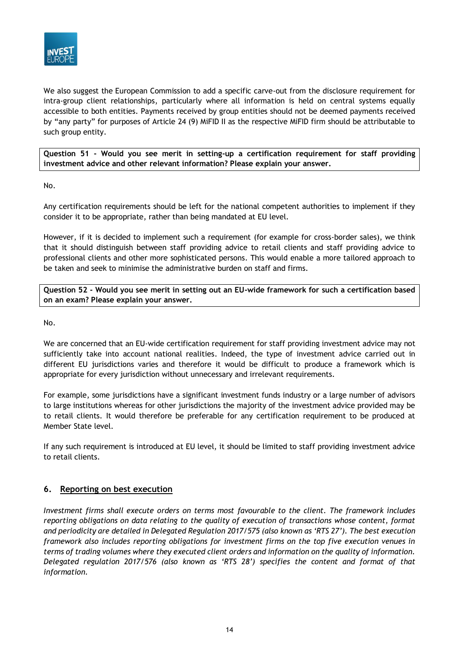

We also suggest the European Commission to add a specific carve-out from the disclosure requirement for intra-group client relationships, particularly where all information is held on central systems equally accessible to both entities. Payments received by group entities should not be deemed payments received by "any party" for purposes of Article 24 (9) MiFID II as the respective MiFID firm should be attributable to such group entity.

**Question 51 - Would you see merit in setting-up a certification requirement for staff providing investment advice and other relevant information? Please explain your answer.**

#### No.

Any certification requirements should be left for the national competent authorities to implement if they consider it to be appropriate, rather than being mandated at EU level.

However, if it is decided to implement such a requirement (for example for cross-border sales), we think that it should distinguish between staff providing advice to retail clients and staff providing advice to professional clients and other more sophisticated persons. This would enable a more tailored approach to be taken and seek to minimise the administrative burden on staff and firms.

**Question 52 - Would you see merit in setting out an EU-wide framework for such a certification based on an exam? Please explain your answer.**

No.

We are concerned that an EU-wide certification requirement for staff providing investment advice may not sufficiently take into account national realities. Indeed, the type of investment advice carried out in different EU jurisdictions varies and therefore it would be difficult to produce a framework which is appropriate for every jurisdiction without unnecessary and irrelevant requirements.

For example, some jurisdictions have a significant investment funds industry or a large number of advisors to large institutions whereas for other jurisdictions the majority of the investment advice provided may be to retail clients. It would therefore be preferable for any certification requirement to be produced at Member State level.

If any such requirement is introduced at EU level, it should be limited to staff providing investment advice to retail clients.

### **6. Reporting on best execution**

*Investment firms shall execute orders on terms most favourable to the client. The framework includes reporting obligations on data relating to the quality of execution of transactions whose content, format and periodicity are detailed in Delegated Regulation 2017/575 (also known as 'RTS 27'). The best execution framework also includes reporting obligations for investment firms on the top five execution venues in terms of trading volumes where they executed client orders and information on the quality of information. Delegated regulation 2017/576 (also known as 'RTS 28') specifies the content and format of that information.*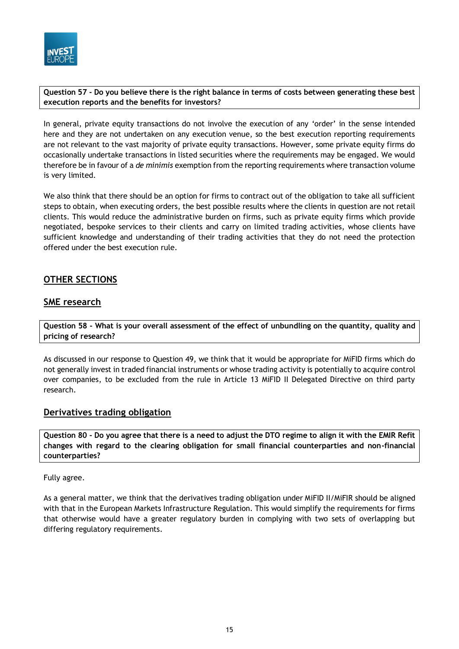

**Question 57 - Do you believe there is the right balance in terms of costs between generating these best execution reports and the benefits for investors?**

In general, private equity transactions do not involve the execution of any 'order' in the sense intended here and they are not undertaken on any execution venue, so the best execution reporting requirements are not relevant to the vast majority of private equity transactions. However, some private equity firms do occasionally undertake transactions in listed securities where the requirements may be engaged. We would therefore be in favour of a *de minimis* exemption from the reporting requirements where transaction volume is very limited.

We also think that there should be an option for firms to contract out of the obligation to take all sufficient steps to obtain, when executing orders, the best possible results where the clients in question are not retail clients. This would reduce the administrative burden on firms, such as private equity firms which provide negotiated, bespoke services to their clients and carry on limited trading activities, whose clients have sufficient knowledge and understanding of their trading activities that they do not need the protection offered under the best execution rule.

## **OTHER SECTIONS**

## **SME research**

**Question 58 - What is your overall assessment of the effect of unbundling on the quantity, quality and pricing of research?**

As discussed in our response to Question 49, we think that it would be appropriate for MiFID firms which do not generally invest in traded financial instruments or whose trading activity is potentially to acquire control over companies, to be excluded from the rule in Article 13 MiFID II Delegated Directive on third party research.

### **Derivatives trading obligation**

**Question 80 - Do you agree that there is a need to adjust the DTO regime to align it with the EMIR Refit changes with regard to the clearing obligation for small financial counterparties and non-financial counterparties?**

Fully agree.

As a general matter, we think that the derivatives trading obligation under MiFID II/MiFIR should be aligned with that in the European Markets Infrastructure Regulation. This would simplify the requirements for firms that otherwise would have a greater regulatory burden in complying with two sets of overlapping but differing regulatory requirements.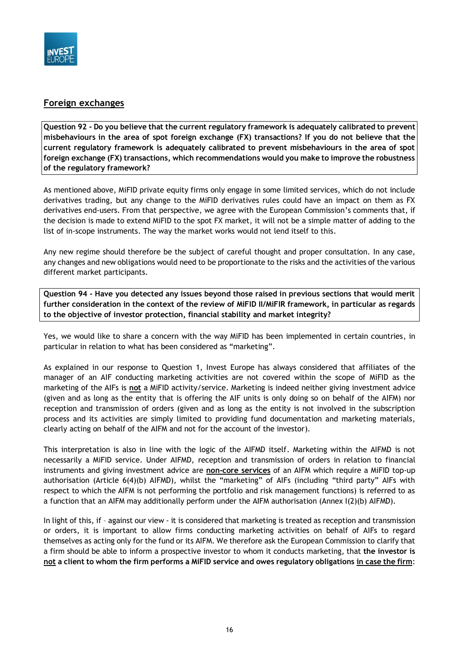

## **Foreign exchanges**

**Question 92 - Do you believe that the current regulatory framework is adequately calibrated to prevent misbehaviours in the area of spot foreign exchange (FX) transactions? If you do not believe that the current regulatory framework is adequately calibrated to prevent misbehaviours in the area of spot foreign exchange (FX) transactions, which recommendations would you make to improve the robustness of the regulatory framework?**

As mentioned above, MiFID private equity firms only engage in some limited services, which do not include derivatives trading, but any change to the MiFID derivatives rules could have an impact on them as FX derivatives end-users. From that perspective, we agree with the European Commission's comments that, if the decision is made to extend MiFID to the spot FX market, it will not be a simple matter of adding to the list of in-scope instruments. The way the market works would not lend itself to this.

Any new regime should therefore be the subject of careful thought and proper consultation. In any case, any changes and new obligations would need to be proportionate to the risks and the activities of the various different market participants.

**Question 94 - Have you detected any issues beyond those raised in previous sections that would merit further consideration in the context of the review of MiFID II/MiFIR framework, in particular as regards to the objective of investor protection, financial stability and market integrity?**

Yes, we would like to share a concern with the way MiFID has been implemented in certain countries, in particular in relation to what has been considered as "marketing".

As explained in our response to Question 1, Invest Europe has always considered that affiliates of the manager of an AIF conducting marketing activities are not covered within the scope of MiFID as the marketing of the AIFs is **not** a MiFID activity/service. Marketing is indeed neither giving investment advice (given and as long as the entity that is offering the AIF units is only doing so on behalf of the AIFM) nor reception and transmission of orders (given and as long as the entity is not involved in the subscription process and its activities are simply limited to providing fund documentation and marketing materials, clearly acting on behalf of the AIFM and not for the account of the investor).

This interpretation is also in line with the logic of the AIFMD itself. Marketing within the AIFMD is not necessarily a MiFID service. Under AIFMD, reception and transmission of orders in relation to financial instruments and giving investment advice are **non-core services** of an AIFM which require a MiFID top-up authorisation (Article 6(4)(b) AIFMD), whilst the "marketing" of AIFs (including "third party" AIFs with respect to which the AIFM is not performing the portfolio and risk management functions) is referred to as a function that an AIFM may additionally perform under the AIFM authorisation (Annex I(2)(b) AIFMD).

In light of this, if - against our view - it is considered that marketing is treated as reception and transmission or orders, it is important to allow firms conducting marketing activities on behalf of AIFs to regard themselves as acting only for the fund or its AIFM. We therefore ask the European Commission to clarify that a firm should be able to inform a prospective investor to whom it conducts marketing, that **the investor is not a client to whom the firm performs a MiFID service and owes regulatory obligations in case the firm**: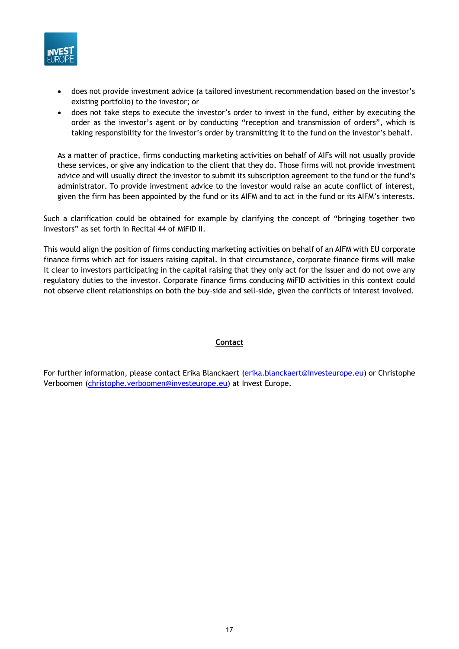

- does not provide investment advice (a tailored investment recommendation based on the investor's existing portfolio) to the investor; or
- does not take steps to execute the investor's order to invest in the fund, either by executing the order as the investor's agent or by conducting "reception and transmission of orders", which is taking responsibility for the investor's order by transmitting it to the fund on the investor's behalf.

As a matter of practice, firms conducting marketing activities on behalf of AIFs will not usually provide these services, or give any indication to the client that they do. Those firms will not provide investment advice and will usually direct the investor to submit its subscription agreement to the fund or the fund's administrator. To provide investment advice to the investor would raise an acute conflict of interest, given the firm has been appointed by the fund or its AIFM and to act in the fund or its AIFM's interests.

Such a clarification could be obtained for example by clarifying the concept of "bringing together two investors" as set forth in Recital 44 of MiFID II.

This would align the position of firms conducting marketing activities on behalf of an AIFM with EU corporate finance firms which act for issuers raising capital. In that circumstance, corporate finance firms will make it clear to investors participating in the capital raising that they only act for the issuer and do not owe any regulatory duties to the investor. Corporate finance firms conducing MiFID activities in this context could not observe client relationships on both the buy-side and sell-side, given the conflicts of interest involved.

#### **Contact**

For further information, please contact Erika Blanckaert [\(erika.blanckaert@investeurope.eu\)](mailto:erika.blanckaert@investeurope.eu) or Christophe Verboomen [\(christophe.verboomen@investeurope.eu\)](mailto:christophe.verboomen@investeurope.eu) at Invest Europe.